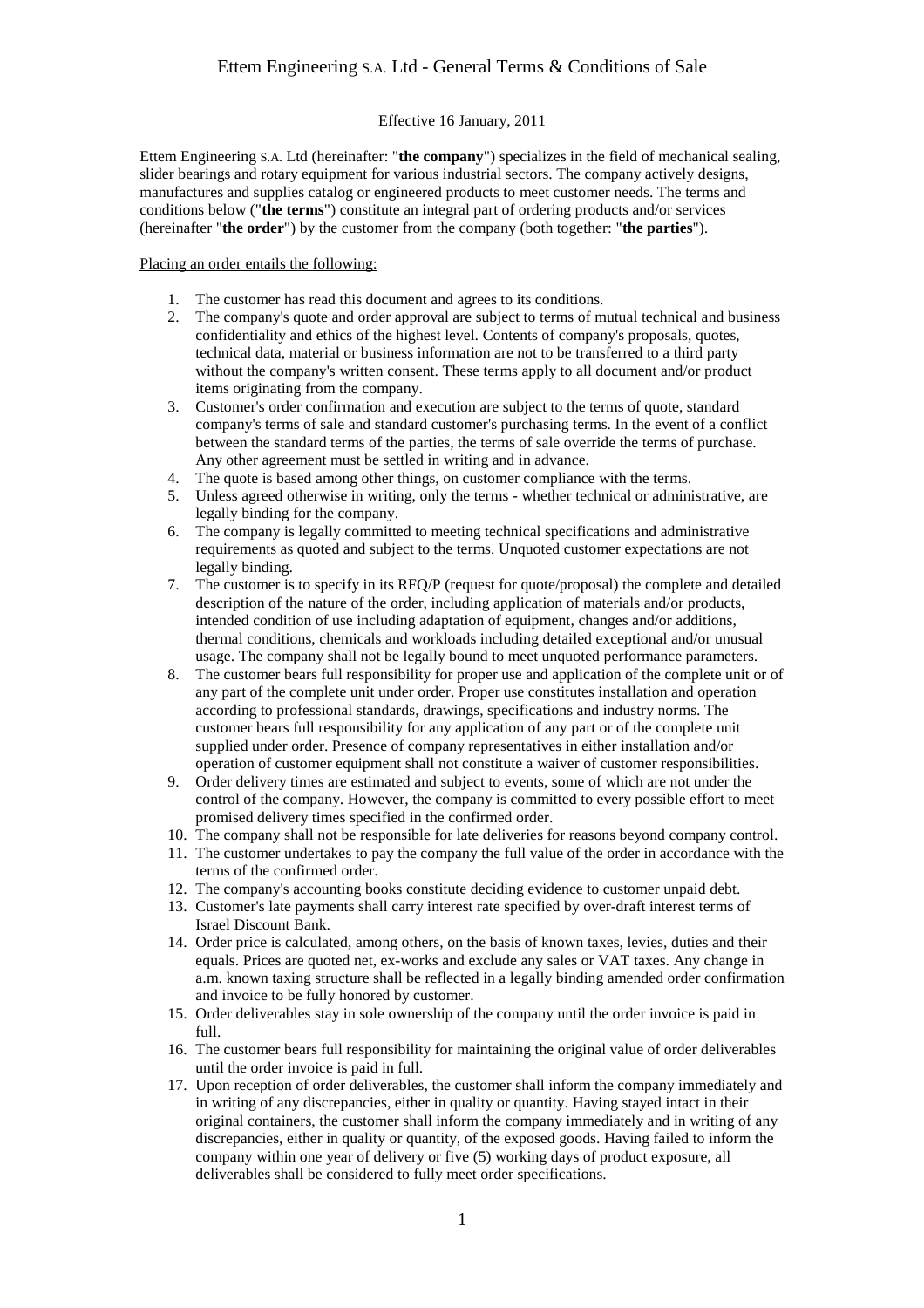## Effective 16 January, 2011

Ettem Engineering S.A. Ltd (hereinafter: "**the company**") specializes in the field of mechanical sealing, slider bearings and rotary equipment for various industrial sectors. The company actively designs, manufactures and supplies catalog or engineered products to meet customer needs. The terms and conditions below ("**the terms**") constitute an integral part of ordering products and/or services (hereinafter "**the order**") by the customer from the company (both together: "**the parties**").

Placing an order entails the following:

- 1. The customer has read this document and agrees to its conditions.
- 2. The company's quote and order approval are subject to terms of mutual technical and business confidentiality and ethics of the highest level. Contents of company's proposals, quotes, technical data, material or business information are not to be transferred to a third party without the company's written consent. These terms apply to all document and/or product items originating from the company.
- 3. Customer's order confirmation and execution are subject to the terms of quote, standard company's terms of sale and standard customer's purchasing terms. In the event of a conflict between the standard terms of the parties, the terms of sale override the terms of purchase. Any other agreement must be settled in writing and in advance.
- 4. The quote is based among other things, on customer compliance with the terms.
- 5. Unless agreed otherwise in writing, only the terms whether technical or administrative, are legally binding for the company.
- 6. The company is legally committed to meeting technical specifications and administrative requirements as quoted and subject to the terms. Unquoted customer expectations are not legally binding.
- 7. The customer is to specify in its RFQ/P (request for quote/proposal) the complete and detailed description of the nature of the order, including application of materials and/or products, intended condition of use including adaptation of equipment, changes and/or additions, thermal conditions, chemicals and workloads including detailed exceptional and/or unusual usage. The company shall not be legally bound to meet unquoted performance parameters.
- 8. The customer bears full responsibility for proper use and application of the complete unit or of any part of the complete unit under order. Proper use constitutes installation and operation according to professional standards, drawings, specifications and industry norms. The customer bears full responsibility for any application of any part or of the complete unit supplied under order. Presence of company representatives in either installation and/or operation of customer equipment shall not constitute a waiver of customer responsibilities.
- 9. Order delivery times are estimated and subject to events, some of which are not under the control of the company. However, the company is committed to every possible effort to meet promised delivery times specified in the confirmed order.
- 10. The company shall not be responsible for late deliveries for reasons beyond company control.
- 11. The customer undertakes to pay the company the full value of the order in accordance with the terms of the confirmed order.
- 12. The company's accounting books constitute deciding evidence to customer unpaid debt.
- 13. Customer's late payments shall carry interest rate specified by over-draft interest terms of Israel Discount Bank.
- 14. Order price is calculated, among others, on the basis of known taxes, levies, duties and their equals. Prices are quoted net, ex-works and exclude any sales or VAT taxes. Any change in a.m. known taxing structure shall be reflected in a legally binding amended order confirmation and invoice to be fully honored by customer.
- 15. Order deliverables stay in sole ownership of the company until the order invoice is paid in full.
- 16. The customer bears full responsibility for maintaining the original value of order deliverables until the order invoice is paid in full.
- 17. Upon reception of order deliverables, the customer shall inform the company immediately and in writing of any discrepancies, either in quality or quantity. Having stayed intact in their original containers, the customer shall inform the company immediately and in writing of any discrepancies, either in quality or quantity, of the exposed goods. Having failed to inform the company within one year of delivery or five (5) working days of product exposure, all deliverables shall be considered to fully meet order specifications.